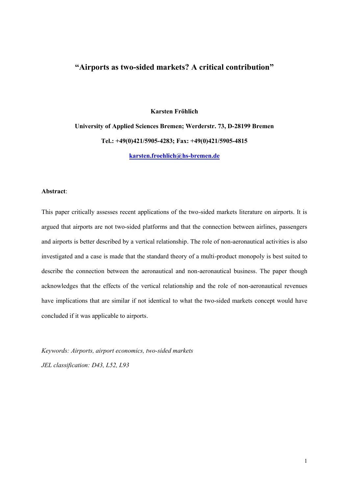#### **"Airports as two-sided markets? A critical contribution"**

**University of Applied Sciences Bremen; Werderstr. 73, D-28199 Bremen Tel.: +49(0)421/5905-4283; Fax: +49(0)421/5905-4815 karsten.froehlich@hs-bremen.de**

**Karsten Fröhlich**

#### **Abstract**:

This paper critically assesses recent applications of the two-sided markets literature on airports. It is argued that airports are not two-sided platforms and that the connection between airlines, passengers and airports is better described by a vertical relationship. The role of non-aeronautical activities is also investigated and a case is made that the standard theory of a multi-product monopoly is best suited to describe the connection between the aeronautical and non-aeronautical business. The paper though acknowledges that the effects of the vertical relationship and the role of non-aeronautical revenues have implications that are similar if not identical to what the two-sided markets concept would have concluded if it was applicable to airports.

*Keywords: Airports, airport economics, two-sided markets JEL classification: D43, L52, L93*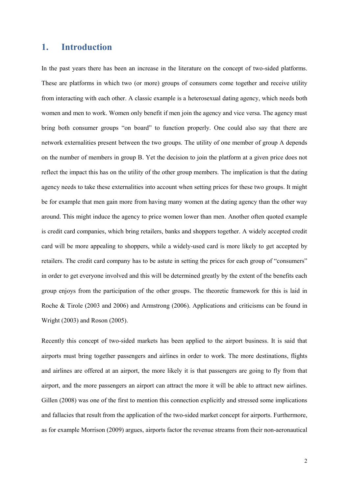#### **1. Introduction**

In the past years there has been an increase in the literature on the concept of two-sided platforms. These are platforms in which two (or more) groups of consumers come together and receive utility from interacting with each other. A classic example is a heterosexual dating agency, which needs both women and men to work. Women only benefit if men join the agency and vice versa. The agency must bring both consumer groups "on board" to function properly. One could also say that there are network externalities present between the two groups. The utility of one member of group A depends on the number of members in group B. Yet the decision to join the platform at a given price does not reflect the impact this has on the utility of the other group members. The implication is that the dating agency needs to take these externalities into account when setting prices for these two groups. It might be for example that men gain more from having many women at the dating agency than the other way around. This might induce the agency to price women lower than men. Another often quoted example is credit card companies, which bring retailers, banks and shoppers together. A widely accepted credit card will be more appealing to shoppers, while a widely-used card is more likely to get accepted by retailers. The credit card company has to be astute in setting the prices for each group of "consumers" in order to get everyone involved and this will be determined greatly by the extent of the benefits each group enjoys from the participation of the other groups. The theoretic framework for this is laid in Roche & Tirole (2003 and 2006) and Armstrong (2006). Applications and criticisms can be found in Wright (2003) and Roson (2005).

Recently this concept of two-sided markets has been applied to the airport business. It is said that airports must bring together passengers and airlines in order to work. The more destinations, flights and airlines are offered at an airport, the more likely it is that passengers are going to fly from that airport, and the more passengers an airport can attract the more it will be able to attract new airlines. Gillen (2008) was one of the first to mention this connection explicitly and stressed some implications and fallacies that result from the application of the two-sided market concept for airports. Furthermore, as for example Morrison (2009) argues, airports factor the revenue streams from their non-aeronautical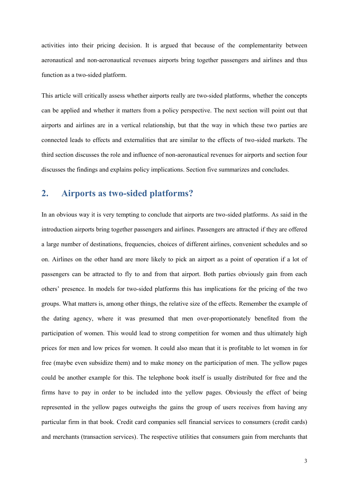activities into their pricing decision. It is argued that because of the complementarity between aeronautical and non-aeronautical revenues airports bring together passengers and airlines and thus function as a two-sided platform.

This article will critically assess whether airports really are two-sided platforms, whether the concepts can be applied and whether it matters from a policy perspective. The next section will point out that airports and airlines are in a vertical relationship, but that the way in which these two parties are connected leads to effects and externalities that are similar to the effects of two-sided markets. The third section discusses the role and influence of non-aeronautical revenues for airports and section four discusses the findings and explains policy implications. Section five summarizes and concludes.

### **2. Airports as two-sided platforms?**

In an obvious way it is very tempting to conclude that airports are two-sided platforms. As said in the introduction airports bring together passengers and airlines. Passengers are attracted if they are offered a large number of destinations, frequencies, choices of different airlines, convenient schedules and so on. Airlines on the other hand are more likely to pick an airport as a point of operation if a lot of passengers can be attracted to fly to and from that airport. Both parties obviously gain from each others' presence. In models for two-sided platforms this has implications for the pricing of the two groups. What matters is, among other things, the relative size of the effects. Remember the example of the dating agency, where it was presumed that men over-proportionately benefited from the participation of women. This would lead to strong competition for women and thus ultimately high prices for men and low prices for women. It could also mean that it is profitable to let women in for free (maybe even subsidize them) and to make money on the participation of men. The yellow pages could be another example for this. The telephone book itself is usually distributed for free and the firms have to pay in order to be included into the yellow pages. Obviously the effect of being represented in the yellow pages outweighs the gains the group of users receives from having any particular firm in that book. Credit card companies sell financial services to consumers (credit cards) and merchants (transaction services). The respective utilities that consumers gain from merchants that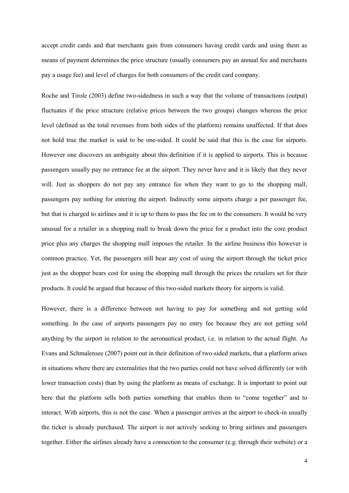accept credit cards and that merchants gain from consumers having credit cards and using them as means of payment determines the price structure (usually consumers pay an annual fee and merchants pay a usage fee) and level of charges for both consumers of the credit card company.

Roche and Tirole (2003) define two-sidedness in such a way that the volume of transactions (output) fluctuates if the price structure (relative prices between the two groups) changes whereas the price level (defined as the total revenues from both sides of the platform) remains unaffected. If that does not hold true the market is said to be one-sided. It could be said that this is the case for airports. However one discovers an ambiguity about this definition if it is applied to airports. This is because passengers usually pay no entrance fee at the airport. They never have and it is likely that they never will. Just as shoppers do not pay any entrance fee when they want to go to the shopping mall, passengers pay nothing for entering the airport. Indirectly some airports charge a per passenger fee, but that is charged to airlines and it is up to them to pass the fee on to the consumers. It would be very unusual for a retailer in a shopping mall to break down the price for a product into the core product price plus any charges the shopping mall imposes the retailer. In the airline business this however is common practice. Yet, the passengers still bear any cost of using the airport through the ticket price just as the shopper bears cost for using the shopping mall through the prices the retailers set for their products. It could be argued that because of this two-sided markets theory for airports is valid.

However, there is a difference between not having to pay for something and not getting sold something. In the case of airports passengers pay no entry fee because they are not getting sold anything by the airport in relation to the aeronautical product, i.e. in relation to the actual flight. As Evans and Schmalensee (2007) point out in their definition of two-sided markets, that a platform arises in situations where there are externalities that the two parties could not have solved differently (or with lower transaction costs) than by using the platform as means of exchange. It is important to point out here that the platform sells both parties something that enables them to "come together" and to interact. With airports, this is not the case. When a passenger arrives at the airport to check-in usually the ticket is already purchased. The airport is not actively seeking to bring airlines and passengers together. Either the airlines already have a connection to the consumer (e.g. through their website) or a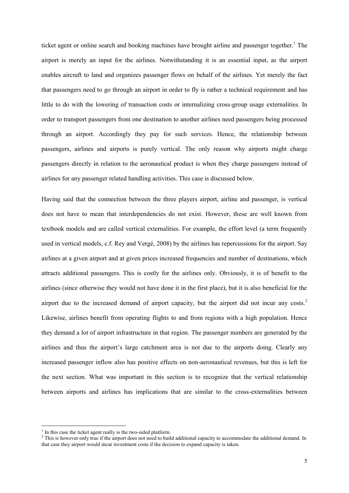ticket agent or online search and booking machines have brought airline and passenger together.<sup>1</sup> The airport is merely an input for the airlines. Notwithstanding it is an essential input, as the airport enables aircraft to land and organizes passenger flows on behalf of the airlines. Yet merely the fact that passengers need to go through an airport in order to fly is rather a technical requirement and has little to do with the lowering of transaction costs or internalizing cross-group usage externalities. In order to transport passengers from one destination to another airlines need passengers being processed through an airport. Accordingly they pay for such services. Hence, the relationship between passengers, airlines and airports is purely vertical. The only reason why airports might charge passengers directly in relation to the aeronautical product is when they charge passengers instead of airlines for any passenger related handling activities. This case is discussed below.

Having said that the connection between the three players airport, airline and passenger, is vertical does not have to mean that interdependencies do not exist. However, these are well known from textbook models and are called vertical externalities. For example, the effort level (a term frequently used in vertical models, c.f. Rey and Vergé, 2008) by the airlines has repercussions for the airport. Say airlines at a given airport and at given prices increased frequencies and number of destinations, which attracts additional passengers. This is costly for the airlines only. Obviously, it is of benefit to the airlines (since otherwise they would not have done it in the first place), but it is also beneficial for the airport due to the increased demand of airport capacity, but the airport did not incur any costs.<sup>2</sup> Likewise, airlines benefit from operating flights to and from regions with a high population. Hence they demand a lot of airport infrastructure in that region. The passenger numbers are generated by the airlines and thus the airport's large catchment area is not due to the airports doing. Clearly any increased passenger inflow also has positive effects on non-aeronautical revenues, but this is left for the next section. What was important in this section is to recognize that the vertical relationship between airports and airlines has implications that are similar to the cross-externalities between

<sup>&</sup>lt;sup>1</sup> In this case the ticket agent really is the two-sided platform.

<sup>&</sup>lt;sup>2</sup> This is however only true if the airport does not need to build additional capacity to accommodate the additional demand. In that case they airport would incur investment costs if the decision to expand capacity is taken.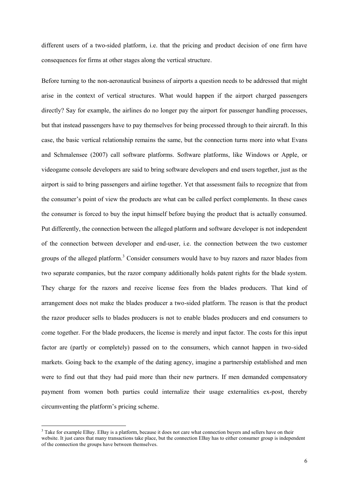different users of a two-sided platform, i.e. that the pricing and product decision of one firm have consequences for firms at other stages along the vertical structure.

Before turning to the non-aeronautical business of airports a question needs to be addressed that might arise in the context of vertical structures. What would happen if the airport charged passengers directly? Say for example, the airlines do no longer pay the airport for passenger handling processes, but that instead passengers have to pay themselves for being processed through to their aircraft. In this case, the basic vertical relationship remains the same, but the connection turns more into what Evans and Schmalensee (2007) call software platforms. Software platforms, like Windows or Apple, or videogame console developers are said to bring software developers and end users together, just as the airport is said to bring passengers and airline together. Yet that assessment fails to recognize that from the consumer's point of view the products are what can be called perfect complements. In these cases the consumer is forced to buy the input himself before buying the product that is actually consumed. Put differently, the connection between the alleged platform and software developer is not independent of the connection between developer and end-user, i.e. the connection between the two customer groups of the alleged platform.<sup>3</sup> Consider consumers would have to buy razors and razor blades from two separate companies, but the razor company additionally holds patent rights for the blade system. They charge for the razors and receive license fees from the blades producers. That kind of arrangement does not make the blades producer a two-sided platform. The reason is that the product the razor producer sells to blades producers is not to enable blades producers and end consumers to come together. For the blade producers, the license is merely and input factor. The costs for this input factor are (partly or completely) passed on to the consumers, which cannot happen in two-sided markets. Going back to the example of the dating agency, imagine a partnership established and men were to find out that they had paid more than their new partners. If men demanded compensatory payment from women both parties could internalize their usage externalities ex-post, thereby circumventing the platform's pricing scheme.

<sup>&</sup>lt;sup>3</sup> Take for example EBay. EBay is a platform, because it does not care what connection buyers and sellers have on their website. It just cares that many transactions take place, but the connection EBay has to either consumer group is independent of the connection the groups have between themselves.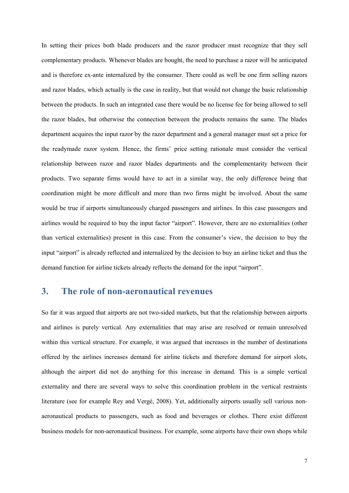In setting their prices both blade producers and the razor producer must recognize that they sell complementary products. Whenever blades are bought, the need to purchase a razor will be anticipated and is therefore ex-ante internalized by the consumer. There could as well be one firm selling razors and razor blades, which actually is the case in reality, but that would not change the basic relationship between the products. In such an integrated case there would be no license fee for being allowed to sell the razor blades, but otherwise the connection between the products remains the same. The blades department acquires the input razor by the razor department and a general manager must set a price for the readymade razor system. Hence, the firms' price setting rationale must consider the vertical relationship between razor and razor blades departments and the complementarity between their products. Two separate firms would have to act in a similar way, the only difference being that coordination might be more difficult and more than two firms might be involved. About the same would be true if airports simultaneously charged passengers and airlines. In this case passengers and airlines would be required to buy the input factor "airport". However, there are no externalities (other than vertical externalities) present in this case. From the consumer's view, the decision to buy the input "airport" is already reflected and internalized by the decision to buy an airline ticket and thus the demand function for airline tickets already reflects the demand for the input "airport".

## **3. The role of non-aeronautical revenues**

So far it was argued that airports are not two-sided markets, but that the relationship between airports and airlines is purely vertical. Any externalities that may arise are resolved or remain unresolved within this vertical structure. For example, it was argued that increases in the number of destinations offered by the airlines increases demand for airline tickets and therefore demand for airport slots, although the airport did not do anything for this increase in demand. This is a simple vertical externality and there are several ways to solve this coordination problem in the vertical restraints literature (see for example Rey and Vergé, 2008). Yet, additionally airports usually sell various nonaeronautical products to passengers, such as food and beverages or clothes. There exist different business models for non-aeronautical business. For example, some airports have their own shops while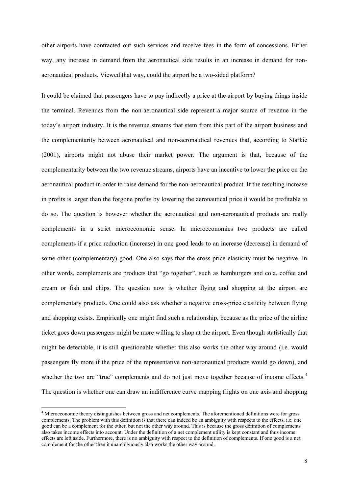other airports have contracted out such services and receive fees in the form of concessions. Either way, any increase in demand from the aeronautical side results in an increase in demand for nonaeronautical products. Viewed that way, could the airport be a two-sided platform?

It could be claimed that passengers have to pay indirectly a price at the airport by buying things inside the terminal. Revenues from the non-aeronautical side represent a major source of revenue in the today's airport industry. It is the revenue streams that stem from this part of the airport business and the complementarity between aeronautical and non-aeronautical revenues that, according to Starkie (2001), airports might not abuse their market power. The argument is that, because of the complementarity between the two revenue streams, airports have an incentive to lower the price on the aeronautical product in order to raise demand for the non-aeronautical product. If the resulting increase in profits is larger than the forgone profits by lowering the aeronautical price it would be profitable to do so. The question is however whether the aeronautical and non-aeronautical products are really complements in a strict microeconomic sense. In microeconomics two products are called complements if a price reduction (increase) in one good leads to an increase (decrease) in demand of some other (complementary) good. One also says that the cross-price elasticity must be negative. In other words, complements are products that "go together", such as hamburgers and cola, coffee and cream or fish and chips. The question now is whether flying and shopping at the airport are complementary products. One could also ask whether a negative cross-price elasticity between flying and shopping exists. Empirically one might find such a relationship, because as the price of the airline ticket goes down passengers might be more willing to shop at the airport. Even though statistically that might be detectable, it is still questionable whether this also works the other way around (i.e. would passengers fly more if the price of the representative non-aeronautical products would go down), and whether the two are "true" complements and do not just move together because of income effects.<sup>4</sup> The question is whether one can draw an indifference curve mapping flights on one axis and shopping

<sup>4</sup> Microeconomic theory distinguishes between gross and net complements. The aforementioned definitions were for gross complements. The problem with this definition is that there can indeed be an ambiguity with respects to the effects, i.e. one good can be a complement for the other, but not the other way around. This is because the gross definition of complements also takes income effects into account. Under the definition of a net complement utility is kept constant and thus income effects are left aside. Furthermore, there is no ambiguity with respect to the definition of complements. If one good is a net complement for the other then it unambiguously also works the other way around.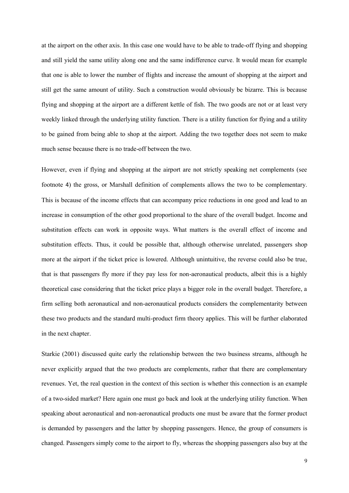at the airport on the other axis. In this case one would have to be able to trade-off flying and shopping and still yield the same utility along one and the same indifference curve. It would mean for example that one is able to lower the number of flights and increase the amount of shopping at the airport and still get the same amount of utility. Such a construction would obviously be bizarre. This is because flying and shopping at the airport are a different kettle of fish. The two goods are not or at least very weekly linked through the underlying utility function. There is a utility function for flying and a utility to be gained from being able to shop at the airport. Adding the two together does not seem to make much sense because there is no trade-off between the two.

However, even if flying and shopping at the airport are not strictly speaking net complements (see footnote 4) the gross, or Marshall definition of complements allows the two to be complementary. This is because of the income effects that can accompany price reductions in one good and lead to an increase in consumption of the other good proportional to the share of the overall budget. Income and substitution effects can work in opposite ways. What matters is the overall effect of income and substitution effects. Thus, it could be possible that, although otherwise unrelated, passengers shop more at the airport if the ticket price is lowered. Although unintuitive, the reverse could also be true, that is that passengers fly more if they pay less for non-aeronautical products, albeit this is a highly theoretical case considering that the ticket price plays a bigger role in the overall budget. Therefore, a firm selling both aeronautical and non-aeronautical products considers the complementarity between these two products and the standard multi-product firm theory applies. This will be further elaborated in the next chapter.

Starkie (2001) discussed quite early the relationship between the two business streams, although he never explicitly argued that the two products are complements, rather that there are complementary revenues. Yet, the real question in the context of this section is whether this connection is an example of a two-sided market? Here again one must go back and look at the underlying utility function. When speaking about aeronautical and non-aeronautical products one must be aware that the former product is demanded by passengers and the latter by shopping passengers. Hence, the group of consumers is changed. Passengers simply come to the airport to fly, whereas the shopping passengers also buy at the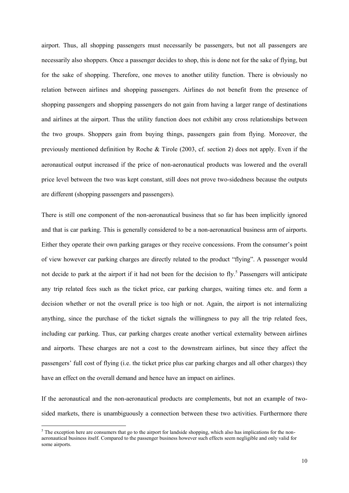airport. Thus, all shopping passengers must necessarily be passengers, but not all passengers are necessarily also shoppers. Once a passenger decides to shop, this is done not for the sake of flying, but for the sake of shopping. Therefore, one moves to another utility function. There is obviously no relation between airlines and shopping passengers. Airlines do not benefit from the presence of shopping passengers and shopping passengers do not gain from having a larger range of destinations and airlines at the airport. Thus the utility function does not exhibit any cross relationships between the two groups. Shoppers gain from buying things, passengers gain from flying. Moreover, the previously mentioned definition by Roche & Tirole (2003, cf. section 2) does not apply. Even if the aeronautical output increased if the price of non-aeronautical products was lowered and the overall price level between the two was kept constant, still does not prove two-sidedness because the outputs are different (shopping passengers and passengers).

There is still one component of the non-aeronautical business that so far has been implicitly ignored and that is car parking. This is generally considered to be a non-aeronautical business arm of airports. Either they operate their own parking garages or they receive concessions. From the consumer's point of view however car parking charges are directly related to the product "flying". A passenger would not decide to park at the airport if it had not been for the decision to fly.<sup>5</sup> Passengers will anticipate any trip related fees such as the ticket price, car parking charges, waiting times etc. and form a decision whether or not the overall price is too high or not. Again, the airport is not internalizing anything, since the purchase of the ticket signals the willingness to pay all the trip related fees, including car parking. Thus, car parking charges create another vertical externality between airlines and airports. These charges are not a cost to the downstream airlines, but since they affect the passengers' full cost of flying (i.e. the ticket price plus car parking charges and all other charges) they have an effect on the overall demand and hence have an impact on airlines.

If the aeronautical and the non-aeronautical products are complements, but not an example of twosided markets, there is unambiguously a connection between these two activities. Furthermore there

 $<sup>5</sup>$  The exception here are consumers that go to the airport for landside shopping, which also has implications for the non-</sup> aeronautical business itself. Compared to the passenger business however such effects seem negligible and only valid for some airports.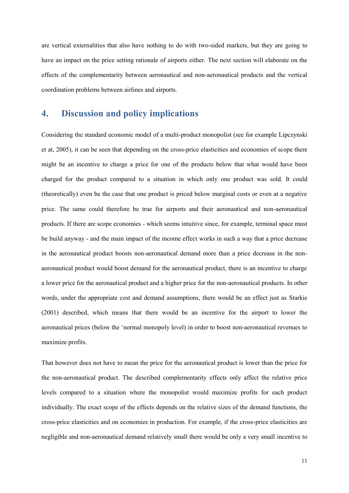are vertical externalities that also have nothing to do with two-sided markets, but they are going to have an impact on the price setting rationale of airports either. The next section will elaborate on the effects of the complementarity between aeronautical and non-aeronautical products and the vertical coordination problems between airlines and airports.

# **4. Discussion and policy implications**

Considering the standard economic model of a multi-product monopolist (see for example Lipczynski et at, 2005), it can be seen that depending on the cross-price elasticities and economies of scope there might be an incentive to charge a price for one of the products below that what would have been charged for the product compared to a situation in which only one product was sold. It could (theoretically) even be the case that one product is priced below marginal costs or even at a negative price. The same could therefore be true for airports and their aeronautical and non-aeronautical products. If there are scope economies - which seems intuitive since, for example, terminal space must be build anyway - and the main impact of the income effect works in such a way that a price decrease in the aeronautical product boosts non-aeronautical demand more than a price decrease in the nonaeronautical product would boost demand for the aeronautical product, there is an incentive to charge a lower price for the aeronautical product and a higher price for the non-aeronautical products. In other words, under the appropriate cost and demand assumptions, there would be an effect just as Starkie (2001) described, which means that there would be an incentive for the airport to lower the aeronautical prices (below the 'normal monopoly level) in order to boost non-aeronautical revenues to maximize profits.

That however does not have to mean the price for the aeronautical product is lower than the price for the non-aeronautical product. The described complementarity effects only affect the relative price levels compared to a situation where the monopolist would maximize profits for each product individually. The exact scope of the effects depends on the relative sizes of the demand functions, the cross-price elasticities and on economies in production. For example, if the cross-price elasticities are negligible and non-aeronautical demand relatively small there would be only a very small incentive to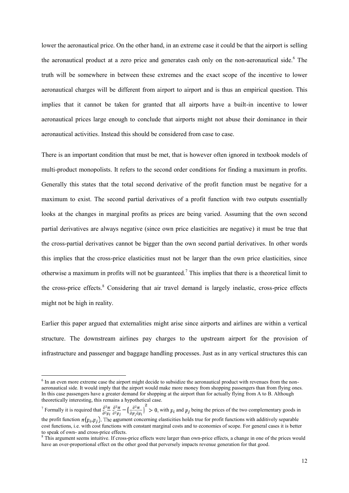lower the aeronautical price. On the other hand, in an extreme case it could be that the airport is selling the aeronautical product at a zero price and generates cash only on the non-aeronautical side.<sup>6</sup> The truth will be somewhere in between these extremes and the exact scope of the incentive to lower aeronautical charges will be different from airport to airport and is thus an empirical question. This implies that it cannot be taken for granted that all airports have a built-in incentive to lower aeronautical prices large enough to conclude that airports might not abuse their dominance in their aeronautical activities. Instead this should be considered from case to case.

There is an important condition that must be met, that is however often ignored in textbook models of multi-product monopolists. It refers to the second order conditions for finding a maximum in profits. Generally this states that the total second derivative of the profit function must be negative for a maximum to exist. The second partial derivatives of a profit function with two outputs essentially looks at the changes in marginal profits as prices are being varied. Assuming that the own second partial derivatives are always negative (since own price elasticities are negative) it must be true that the cross-partial derivatives cannot be bigger than the own second partial derivatives. In other words this implies that the cross-price elasticities must not be larger than the own price elasticities, since otherwise a maximum in profits will not be guaranteed.<sup>7</sup> This implies that there is a theoretical limit to the cross-price effects.<sup>8</sup> Considering that air travel demand is largely inelastic, cross-price effects might not be high in reality.

Earlier this paper argued that externalities might arise since airports and airlines are within a vertical structure. The downstream airlines pay charges to the upstream airport for the provision of infrastructure and passenger and baggage handling processes. Just as in any vertical structures this can

 $<sup>6</sup>$  In an even more extreme case the airport might decide to subsidize the aeronautical product with revenues from the non-</sup> aeronautical side. It would imply that the airport would make more money from shopping passengers than from flying ones. In this case passengers have a greater demand for shopping at the airport than for actually flying from A to B. Although theoretically interesting, this remains a hypothetical case. theoretically interesting, this remains a hypothetical case.

<sup>&</sup>lt;sup>7</sup> Formally it is required that  $\frac{\partial^2 \pi}{\partial^2 p_i} \frac{\partial^2 \pi}{\partial^2 p_i} - \left(\frac{\partial^2 \pi}{\partial p_i \partial p_i}\right) > 0$ , with  $p_i$  and  $p_j$  being the prices of the two complementary goods in the profit function  $\pi(p_i, p_j)$ . The argument concerning elasticities holds true for profit functions with additively separable cost functions, i.e. with cost functions with constant marginal costs and to economies of scope. For general cases it is better

to speak of own- and cross-price effects. <sup>8</sup> This argument seems intuitive. If cross-price effects were larger than own-price effects, a change in one of the prices would have an over-proportional effect on the other good that perversely impacts revenue generation for that good.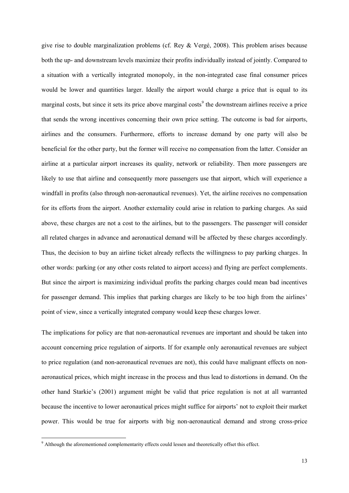give rise to double marginalization problems (cf. Rey & Vergé, 2008). This problem arises because both the up- and downstream levels maximize their profits individually instead of jointly. Compared to a situation with a vertically integrated monopoly, in the non-integrated case final consumer prices would be lower and quantities larger. Ideally the airport would charge a price that is equal to its marginal costs, but since it sets its price above marginal costs<sup>9</sup> the downstream airlines receive a price that sends the wrong incentives concerning their own price setting. The outcome is bad for airports, airlines and the consumers. Furthermore, efforts to increase demand by one party will also be beneficial for the other party, but the former will receive no compensation from the latter. Consider an airline at a particular airport increases its quality, network or reliability. Then more passengers are likely to use that airline and consequently more passengers use that airport, which will experience a windfall in profits (also through non-aeronautical revenues). Yet, the airline receives no compensation for its efforts from the airport. Another externality could arise in relation to parking charges. As said above, these charges are not a cost to the airlines, but to the passengers. The passenger will consider all related charges in advance and aeronautical demand will be affected by these charges accordingly. Thus, the decision to buy an airline ticket already reflects the willingness to pay parking charges. In other words: parking (or any other costs related to airport access) and flying are perfect complements. But since the airport is maximizing individual profits the parking charges could mean bad incentives for passenger demand. This implies that parking charges are likely to be too high from the airlines' point of view, since a vertically integrated company would keep these charges lower.

The implications for policy are that non-aeronautical revenues are important and should be taken into account concerning price regulation of airports. If for example only aeronautical revenues are subject to price regulation (and non-aeronautical revenues are not), this could have malignant effects on nonaeronautical prices, which might increase in the process and thus lead to distortions in demand. On the other hand Starkie's (2001) argument might be valid that price regulation is not at all warranted because the incentive to lower aeronautical prices might suffice for airports' not to exploit their market power. This would be true for airports with big non-aeronautical demand and strong cross-price

<sup>&</sup>lt;sup>9</sup> Although the aforementioned complementarity effects could lessen and theoretically offset this effect.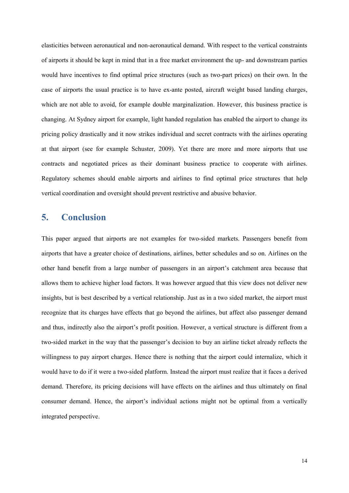elasticities between aeronautical and non-aeronautical demand. With respect to the vertical constraints of airports it should be kept in mind that in a free market environment the up- and downstream parties would have incentives to find optimal price structures (such as two-part prices) on their own. In the case of airports the usual practice is to have ex-ante posted, aircraft weight based landing charges, which are not able to avoid, for example double marginalization. However, this business practice is changing. At Sydney airport for example, light handed regulation has enabled the airport to change its pricing policy drastically and it now strikes individual and secret contracts with the airlines operating at that airport (see for example Schuster, 2009). Yet there are more and more airports that use contracts and negotiated prices as their dominant business practice to cooperate with airlines. Regulatory schemes should enable airports and airlines to find optimal price structures that help vertical coordination and oversight should prevent restrictive and abusive behavior.

## **5. Conclusion**

This paper argued that airports are not examples for two-sided markets. Passengers benefit from airports that have a greater choice of destinations, airlines, better schedules and so on. Airlines on the other hand benefit from a large number of passengers in an airport's catchment area because that allows them to achieve higher load factors. It was however argued that this view does not deliver new insights, but is best described by a vertical relationship. Just as in a two sided market, the airport must recognize that its charges have effects that go beyond the airlines, but affect also passenger demand and thus, indirectly also the airport's profit position. However, a vertical structure is different from a two-sided market in the way that the passenger's decision to buy an airline ticket already reflects the willingness to pay airport charges. Hence there is nothing that the airport could internalize, which it would have to do if it were a two-sided platform. Instead the airport must realize that it faces a derived demand. Therefore, its pricing decisions will have effects on the airlines and thus ultimately on final consumer demand. Hence, the airport's individual actions might not be optimal from a vertically integrated perspective.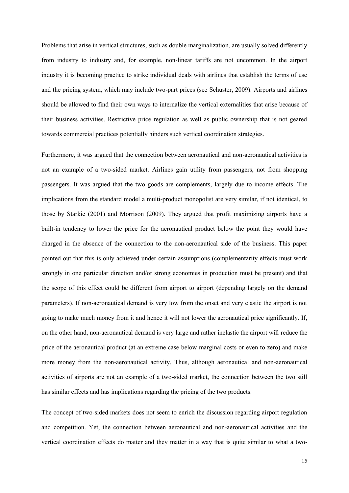Problems that arise in vertical structures, such as double marginalization, are usually solved differently from industry to industry and, for example, non-linear tariffs are not uncommon. In the airport industry it is becoming practice to strike individual deals with airlines that establish the terms of use and the pricing system, which may include two-part prices (see Schuster, 2009). Airports and airlines should be allowed to find their own ways to internalize the vertical externalities that arise because of their business activities. Restrictive price regulation as well as public ownership that is not geared towards commercial practices potentially hinders such vertical coordination strategies.

Furthermore, it was argued that the connection between aeronautical and non-aeronautical activities is not an example of a two-sided market. Airlines gain utility from passengers, not from shopping passengers. It was argued that the two goods are complements, largely due to income effects. The implications from the standard model a multi-product monopolist are very similar, if not identical, to those by Starkie (2001) and Morrison (2009). They argued that profit maximizing airports have a built-in tendency to lower the price for the aeronautical product below the point they would have charged in the absence of the connection to the non-aeronautical side of the business. This paper pointed out that this is only achieved under certain assumptions (complementarity effects must work strongly in one particular direction and/or strong economies in production must be present) and that the scope of this effect could be different from airport to airport (depending largely on the demand parameters). If non-aeronautical demand is very low from the onset and very elastic the airport is not going to make much money from it and hence it will not lower the aeronautical price significantly. If, on the other hand, non-aeronautical demand is very large and rather inelastic the airport will reduce the price of the aeronautical product (at an extreme case below marginal costs or even to zero) and make more money from the non-aeronautical activity. Thus, although aeronautical and non-aeronautical activities of airports are not an example of a two-sided market, the connection between the two still has similar effects and has implications regarding the pricing of the two products.

The concept of two-sided markets does not seem to enrich the discussion regarding airport regulation and competition. Yet, the connection between aeronautical and non-aeronautical activities and the vertical coordination effects do matter and they matter in a way that is quite similar to what a two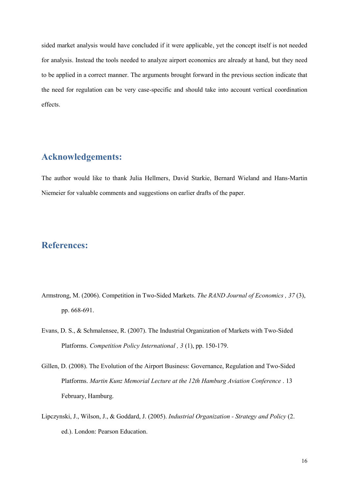sided market analysis would have concluded if it were applicable, yet the concept itself is not needed for analysis. Instead the tools needed to analyze airport economics are already at hand, but they need to be applied in a correct manner. The arguments brought forward in the previous section indicate that the need for regulation can be very case-specific and should take into account vertical coordination effects.

## **Acknowledgements:**

The author would like to thank Julia Hellmers, David Starkie, Bernard Wieland and Hans-Martin Niemeier for valuable comments and suggestions on earlier drafts of the paper.

# **References:**

- Armstrong, M. (2006). Competition in Two-Sided Markets. *The RAND Journal of Economics , 37* (3), pp. 668-691.
- Evans, D. S., & Schmalensee, R. (2007). The Industrial Organization of Markets with Two-Sided Platforms. *Competition Policy International , 3* (1), pp. 150-179.
- Gillen, D. (2008). The Evolution of the Airport Business: Governance, Regulation and Two-Sided Platforms. *Martin Kunz Memorial Lecture at the 12th Hamburg Aviation Conference* . 13 February, Hamburg.
- Lipczynski, J., Wilson, J., & Goddard, J. (2005). *Industrial Organization - Strategy and Policy* (2. ed.). London: Pearson Education.